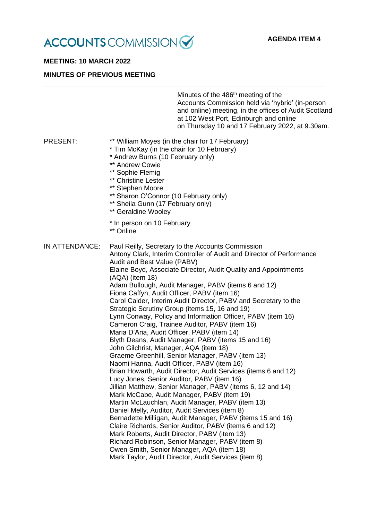

## **MEETING: 10 MARCH 2022**

#### **MINUTES OF PREVIOUS MEETING**

Minutes of the 486<sup>th</sup> meeting of the Accounts Commission held via 'hybrid' (in-person and online) meeting, in the offices of Audit Scotland at 102 West Port, Edinburgh and online on Thursday 10 and 17 February 2022, at 9.30am.

## PRESENT: \*\* William Moyes (in the chair for 17 February)

- \* Tim McKay (in the chair for 10 February)
- \* Andrew Burns (10 February only)
- \*\* Andrew Cowie
- \*\* Sophie Flemig
- \*\* Christine Lester
- \*\* Stephen Moore
- \*\* Sharon O'Connor (10 February only)
- \*\* Sheila Gunn (17 February only)
- \*\* Geraldine Woolev
- \* In person on 10 February
- \*\* Online

IN ATTENDANCE: Paul Reilly, Secretary to the Accounts Commission Antony Clark, Interim Controller of Audit and Director of Performance Audit and Best Value (PABV) Elaine Boyd, Associate Director, Audit Quality and Appointments (AQA) (item 18) Adam Bullough, Audit Manager, PABV (items 6 and 12) Fiona Caffyn, Audit Officer, PABV (item 16) Carol Calder, Interim Audit Director, PABV and Secretary to the Strategic Scrutiny Group (items 15, 16 and 19) Lynn Conway, Policy and Information Officer, PABV (item 16) Cameron Craig, Trainee Auditor, PABV (item 16) Maria D'Aria, Audit Officer, PABV (item 14) Blyth Deans, Audit Manager, PABV (items 15 and 16) John Gilchrist, Manager, AQA (item 18) Graeme Greenhill, Senior Manager, PABV (item 13) Naomi Hanna, Audit Officer, PABV (item 16) Brian Howarth, Audit Director, Audit Services (items 6 and 12) Lucy Jones, Senior Auditor, PABV (item 16) Jillian Matthew, Senior Manager, PABV (items 6, 12 and 14) Mark McCabe, Audit Manager, PABV (item 19) Martin McLauchlan, Audit Manager, PABV (item 13) Daniel Melly, Auditor, Audit Services (item 8) Bernadette Milligan, Audit Manager, PABV (items 15 and 16) Claire Richards, Senior Auditor, PABV (items 6 and 12) Mark Roberts, Audit Director, PABV (item 13) Richard Robinson, Senior Manager, PABV (item 8) Owen Smith, Senior Manager, AQA (item 18) Mark Taylor, Audit Director, Audit Services (item 8)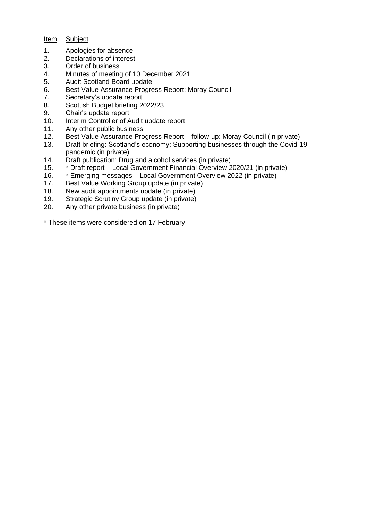## Item Subject

- 1. Apologies for absence<br>2. Declarations of interest
- Declarations of interest
- 3. Order of business
- 4. Minutes of meeting of 10 December 2021
- 5. Audit Scotland Board update
- 6. Best Value Assurance Progress Report: Moray Council
- 7. Secretary's update report
- 8. Scottish Budget briefing 2022/23
- 9. Chair's update report<br>10. Interim Controller of A
- Interim Controller of Audit update report
- 11. Any other public business
- 12. Best Value Assurance Progress Report follow-up: Moray Council (in private)
- 13. Draft briefing: Scotland's economy: Supporting businesses through the Covid-19 pandemic (in private)
- 14. Draft publication: Drug and alcohol services (in private)
- 15. \* Draft report Local Government Financial Overview 2020/21 (in private)
- 16. \* Emerging messages Local Government Overview 2022 (in private)<br>17. Best Value Working Group update (in private)
- Best Value Working Group update (in private)
- 18. New audit appointments update (in private)
- 19. Strategic Scrutiny Group update (in private)
- 20. Any other private business (in private)

\* These items were considered on 17 February.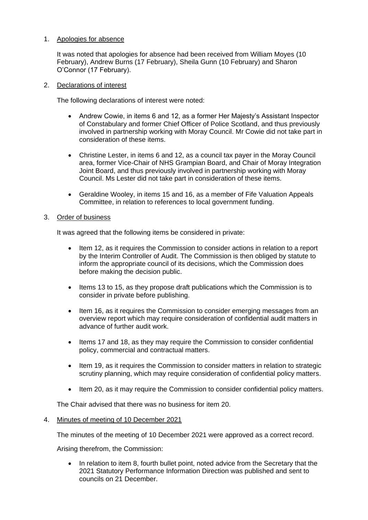# 1. Apologies for absence

It was noted that apologies for absence had been received from William Moyes (10 February), Andrew Burns (17 February), Sheila Gunn (10 February) and Sharon O'Connor (17 February).

### 2. Declarations of interest

The following declarations of interest were noted:

- Andrew Cowie, in items 6 and 12, as a former Her Majesty's Assistant Inspector of Constabulary and former Chief Officer of Police Scotland, and thus previously involved in partnership working with Moray Council. Mr Cowie did not take part in consideration of these items.
- Christine Lester, in items 6 and 12, as a council tax payer in the Moray Council area, former Vice-Chair of NHS Grampian Board, and Chair of Moray Integration Joint Board, and thus previously involved in partnership working with Moray Council. Ms Lester did not take part in consideration of these items.
- Geraldine Wooley, in items 15 and 16, as a member of Fife Valuation Appeals Committee, in relation to references to local government funding.

## 3. Order of business

It was agreed that the following items be considered in private:

- Item 12, as it requires the Commission to consider actions in relation to a report by the Interim Controller of Audit. The Commission is then obliged by statute to inform the appropriate council of its decisions, which the Commission does before making the decision public.
- Items 13 to 15, as they propose draft publications which the Commission is to consider in private before publishing.
- Item 16, as it requires the Commission to consider emerging messages from an overview report which may require consideration of confidential audit matters in advance of further audit work.
- Items 17 and 18, as they may require the Commission to consider confidential policy, commercial and contractual matters.
- Item 19, as it requires the Commission to consider matters in relation to strategic scrutiny planning, which may require consideration of confidential policy matters.
- Item 20, as it may require the Commission to consider confidential policy matters.

The Chair advised that there was no business for item 20.

# 4. Minutes of meeting of 10 December 2021

The minutes of the meeting of 10 December 2021 were approved as a correct record.

Arising therefrom, the Commission:

In relation to item 8, fourth bullet point, noted advice from the Secretary that the 2021 Statutory Performance Information Direction was published and sent to councils on 21 December.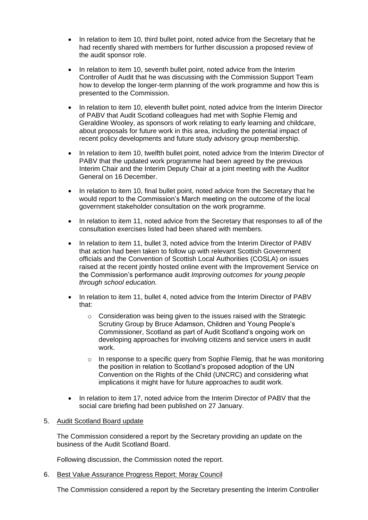- In relation to item 10, third bullet point, noted advice from the Secretary that he had recently shared with members for further discussion a proposed review of the audit sponsor role.
- In relation to item 10, seventh bullet point, noted advice from the Interim Controller of Audit that he was discussing with the Commission Support Team how to develop the longer-term planning of the work programme and how this is presented to the Commission.
- In relation to item 10, eleventh bullet point, noted advice from the Interim Director of PABV that Audit Scotland colleagues had met with Sophie Flemig and Geraldine Wooley, as sponsors of work relating to early learning and childcare, about proposals for future work in this area, including the potential impact of recent policy developments and future study advisory group membership.
- In relation to item 10, twelfth bullet point, noted advice from the Interim Director of PABV that the updated work programme had been agreed by the previous Interim Chair and the Interim Deputy Chair at a joint meeting with the Auditor General on 16 December.
- In relation to item 10, final bullet point, noted advice from the Secretary that he would report to the Commission's March meeting on the outcome of the local government stakeholder consultation on the work programme.
- In relation to item 11, noted advice from the Secretary that responses to all of the consultation exercises listed had been shared with members.
- In relation to item 11, bullet 3, noted advice from the Interim Director of PABV that action had been taken to follow up with relevant Scottish Government officials and the Convention of Scottish Local Authorities (COSLA) on issues raised at the recent jointly hosted online event with the Improvement Service on the Commission's performance audit *Improving outcomes for young people through school education.*
- In relation to item 11, bullet 4, noted advice from the Interim Director of PABV that:
	- o Consideration was being given to the issues raised with the Strategic Scrutiny Group by Bruce Adamson, Children and Young People's Commissioner, Scotland as part of Audit Scotland's ongoing work on developing approaches for involving citizens and service users in audit work.
	- $\circ$  In response to a specific query from Sophie Flemig, that he was monitoring the position in relation to Scotland's proposed adoption of the UN Convention on the Rights of the Child (UNCRC) and considering what implications it might have for future approaches to audit work.
- In relation to item 17, noted advice from the Interim Director of PABV that the social care briefing had been published on 27 January.

# 5. Audit Scotland Board update

The Commission considered a report by the Secretary providing an update on the business of the Audit Scotland Board.

Following discussion, the Commission noted the report.

6. Best Value Assurance Progress Report: Moray Council

The Commission considered a report by the Secretary presenting the Interim Controller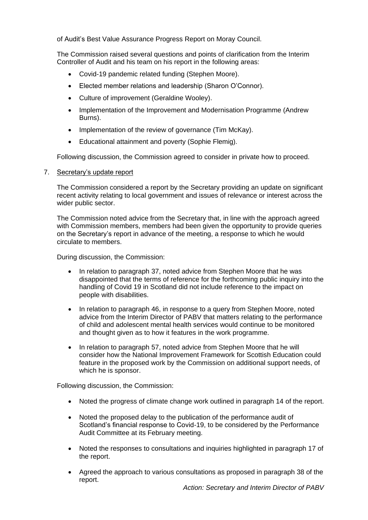of Audit's Best Value Assurance Progress Report on Moray Council.

The Commission raised several questions and points of clarification from the Interim Controller of Audit and his team on his report in the following areas:

- Covid-19 pandemic related funding (Stephen Moore).
- Elected member relations and leadership (Sharon O'Connor).
- Culture of improvement (Geraldine Wooley).
- Implementation of the Improvement and Modernisation Programme (Andrew Burns).
- Implementation of the review of governance (Tim McKay).
- Educational attainment and poverty (Sophie Flemig).

Following discussion, the Commission agreed to consider in private how to proceed.

## 7. Secretary's update report

The Commission considered a report by the Secretary providing an update on significant recent activity relating to local government and issues of relevance or interest across the wider public sector.

The Commission noted advice from the Secretary that, in line with the approach agreed with Commission members, members had been given the opportunity to provide queries on the Secretary's report in advance of the meeting, a response to which he would circulate to members.

During discussion, the Commission:

- In relation to paragraph 37, noted advice from Stephen Moore that he was disappointed that the terms of reference for the forthcoming public inquiry into the handling of Covid 19 in Scotland did not include reference to the impact on people with disabilities.
- In relation to paragraph 46, in response to a query from Stephen Moore, noted advice from the Interim Director of PABV that matters relating to the performance of child and adolescent mental health services would continue to be monitored and thought given as to how it features in the work programme.
- In relation to paragraph 57, noted advice from Stephen Moore that he will consider how the National Improvement Framework for Scottish Education could feature in the proposed work by the Commission on additional support needs, of which he is sponsor.

Following discussion, the Commission:

- Noted the progress of climate change work outlined in paragraph 14 of the report.
- Noted the proposed delay to the publication of the performance audit of Scotland's financial response to Covid-19, to be considered by the Performance Audit Committee at its February meeting.
- Noted the responses to consultations and inquiries highlighted in paragraph 17 of the report.
- Agreed the approach to various consultations as proposed in paragraph 38 of the report.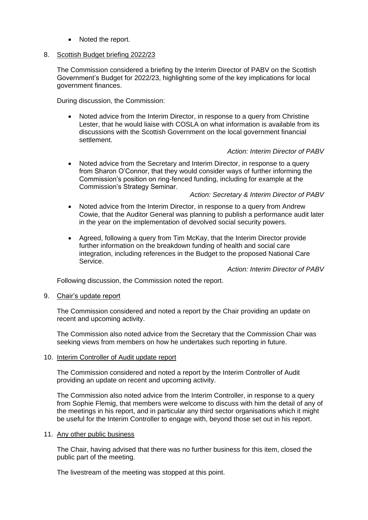• Noted the report.

## 8. Scottish Budget briefing 2022/23

The Commission considered a briefing by the Interim Director of PABV on the Scottish Government's Budget for 2022/23, highlighting some of the key implications for local government finances.

During discussion, the Commission:

• Noted advice from the Interim Director, in response to a query from Christine Lester, that he would liaise with COSLA on what information is available from its discussions with the Scottish Government on the local government financial settlement.

# *Action: Interim Director of PABV*

• Noted advice from the Secretary and Interim Director, in response to a query from Sharon O'Connor, that they would consider ways of further informing the Commission's position on ring-fenced funding, including for example at the Commission's Strategy Seminar.

## *Action: Secretary & Interim Director of PABV*

- Noted advice from the Interim Director, in response to a query from Andrew Cowie, that the Auditor General was planning to publish a performance audit later in the year on the implementation of devolved social security powers.
- Agreed, following a query from Tim McKay, that the Interim Director provide further information on the breakdown funding of health and social care integration, including references in the Budget to the proposed National Care Service.

# *Action: Interim Director of PABV*

Following discussion, the Commission noted the report.

#### 9. Chair's update report

The Commission considered and noted a report by the Chair providing an update on recent and upcoming activity.

The Commission also noted advice from the Secretary that the Commission Chair was seeking views from members on how he undertakes such reporting in future.

#### 10. Interim Controller of Audit update report

The Commission considered and noted a report by the Interim Controller of Audit providing an update on recent and upcoming activity.

The Commission also noted advice from the Interim Controller, in response to a query from Sophie Flemig, that members were welcome to discuss with him the detail of any of the meetings in his report, and in particular any third sector organisations which it might be useful for the Interim Controller to engage with, beyond those set out in his report.

#### 11. Any other public business

The Chair, having advised that there was no further business for this item, closed the public part of the meeting.

The livestream of the meeting was stopped at this point.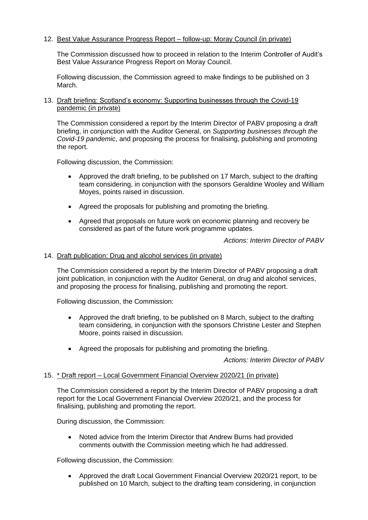# 12. Best Value Assurance Progress Report – follow-up: Moray Council (in private)

The Commission discussed how to proceed in relation to the Interim Controller of Audit's Best Value Assurance Progress Report on Moray Council.

Following discussion, the Commission agreed to make findings to be published on 3 March.

## 13. Draft briefing: Scotland's economy: Supporting businesses through the Covid-19 pandemic (in private)

The Commission considered a report by the Interim Director of PABV proposing a draft briefing, in conjunction with the Auditor General, on *Supporting businesses through the Covid-19 pandemic*, and proposing the process for finalising, publishing and promoting the report.

Following discussion, the Commission:

- Approved the draft briefing, to be published on 17 March, subject to the drafting team considering, in conjunction with the sponsors Geraldine Wooley and William Moyes, points raised in discussion.
- Agreed the proposals for publishing and promoting the briefing.
- Agreed that proposals on future work on economic planning and recovery be considered as part of the future work programme updates.

*Actions: Interim Director of PABV*

## 14. Draft publication: Drug and alcohol services (in private)

The Commission considered a report by the Interim Director of PABV proposing a draft joint publication, in conjunction with the Auditor General, on drug and alcohol services, and proposing the process for finalising, publishing and promoting the report.

Following discussion, the Commission:

- Approved the draft briefing, to be published on 8 March, subject to the drafting team considering, in conjunction with the sponsors Christine Lester and Stephen Moore, points raised in discussion.
- Agreed the proposals for publishing and promoting the briefing.

*Actions: Interim Director of PABV*

### 15. \* Draft report – Local Government Financial Overview 2020/21 (in private)

The Commission considered a report by the Interim Director of PABV proposing a draft report for the Local Government Financial Overview 2020/21, and the process for finalising, publishing and promoting the report.

During discussion, the Commission:

• Noted advice from the Interim Director that Andrew Burns had provided comments outwith the Commission meeting which he had addressed.

Following discussion, the Commission:

• Approved the draft Local Government Financial Overview 2020/21 report, to be published on 10 March, subject to the drafting team considering, in conjunction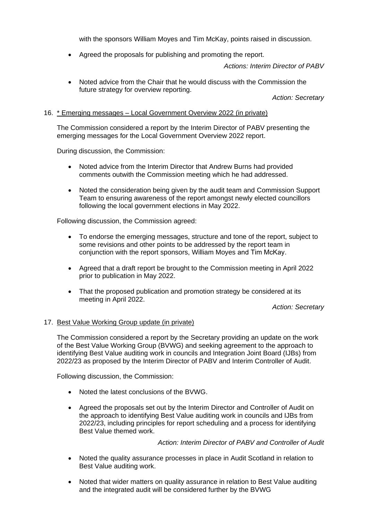with the sponsors William Moyes and Tim McKay, points raised in discussion.

• Agreed the proposals for publishing and promoting the report.

*Actions: Interim Director of PABV*

• Noted advice from the Chair that he would discuss with the Commission the future strategy for overview reporting.

*Action: Secretary*

# 16. \* Emerging messages – Local Government Overview 2022 (in private)

The Commission considered a report by the Interim Director of PABV presenting the emerging messages for the Local Government Overview 2022 report.

During discussion, the Commission:

- Noted advice from the Interim Director that Andrew Burns had provided comments outwith the Commission meeting which he had addressed.
- Noted the consideration being given by the audit team and Commission Support Team to ensuring awareness of the report amongst newly elected councillors following the local government elections in May 2022.

Following discussion, the Commission agreed:

- To endorse the emerging messages, structure and tone of the report, subject to some revisions and other points to be addressed by the report team in conjunction with the report sponsors, William Moyes and Tim McKay.
- Agreed that a draft report be brought to the Commission meeting in April 2022 prior to publication in May 2022.
- That the proposed publication and promotion strategy be considered at its meeting in April 2022.

*Action: Secretary*

# 17. Best Value Working Group update (in private)

The Commission considered a report by the Secretary providing an update on the work of the Best Value Working Group (BVWG) and seeking agreement to the approach to identifying Best Value auditing work in councils and Integration Joint Board (IJBs) from 2022/23 as proposed by the Interim Director of PABV and Interim Controller of Audit.

Following discussion, the Commission:

- Noted the latest conclusions of the BVWG.
- Agreed the proposals set out by the Interim Director and Controller of Audit on the approach to identifying Best Value auditing work in councils and IJBs from 2022/23, including principles for report scheduling and a process for identifying Best Value themed work.

*Action: Interim Director of PABV and Controller of Audit*

- Noted the quality assurance processes in place in Audit Scotland in relation to Best Value auditing work.
- Noted that wider matters on quality assurance in relation to Best Value auditing and the integrated audit will be considered further by the BVWG